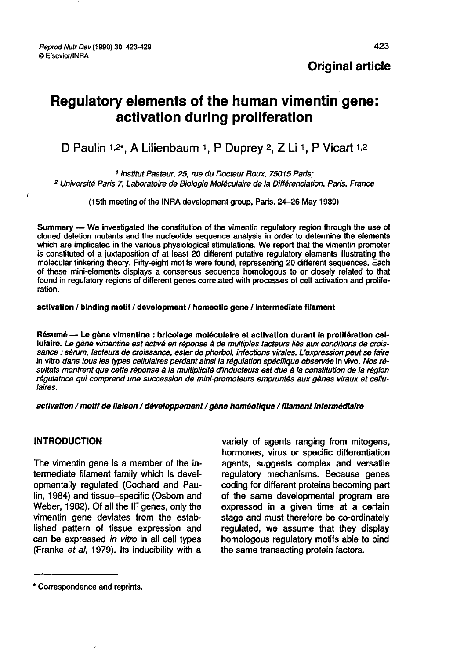Original article

# Regulatory elements of the human vimentin gene: activation during proliferation activation during proliferation<br>D Paulin 1,2<sup>\*</sup>, A Lilienbaum 1, P Duprey 2, Z Li 1, P Vicart 1,

1, 2 Institut Pasteur, 25, rue du Docteur Roux, 75015 Paris;<br><sup>2</sup> Université Paris 7, Laboratoire de Biologie Moléculaire de la Différenciation, Paris, France<br><sup>2</sup> Université Paris 7, Laboratoire de Biologie Moléculaire de l

(l5th meeting of the INRA development group, Paris, 24-26 May 1989)

Summary ― We investigated the constitution of the vimentin regulatory region through the use of cloned deletion mutants and the nucleotide sequence analysis in order to determine the elements which are implicated in the various physiological stimulations. We report that the vimentin promoter is constituted of a juxtaposition of at least 20 different putative regulatory elements illustrating the molecular tinkering theory. Fifty-eight motifs were found, representing 20 different sequences. Each of these mini-elements displays a consensus sequence homologous to or closely related to that found in regulatory regions of different genes correlated with processes of cell activation and proliferation.

activation / binding motif / development / homeotic gene / intermediate filament

Résumé ― Le gène vimentine . bricolage moléculaire et activation durant la prolifération cellulaire. Le gène vimentine est activé en réponse à de multiples facteurs liés aux conditions de croissance : sérum, facteurs de croissance, ester de phorbol, infections virales. L'expression peut se faire in vitro dans tous les types cellulaires perdant ainsi la régulation spécifique observée in vivo. Nos résultats montrent que cette réponse à la multiplicité d'inducteurs est due à la constitution de la région régulatrice qui comprend une succession de mini promoteurs empruntés aux gènes viraux et cellulaires.

activation / motif de liaison / développement / gène homéotique / filament Intermédiaire

#### INTRODUCTION

 $\epsilon$ 

The vimentin gene is a member of the intermediate filament family which is developmentally regulated (Cochard and Paulin, 1984) and tissue-specific (Osborn and Weber, 1982). Of all the IF genes, only the vimentin gene deviates from the established pattern of tissue expression and can be expressed in vitro in all cell types (Franke et al, 1979). Its inducibility with a

variety of agents ranging from mitogens, hormones, virus or specific differentiation agents, suggests complex and versatile regulatory mechanisms. Because genes coding for different proteins becoming part of the same developmental program are expressed in a given time at a certain stage and must therefore be co-ordinately regulated, we assume that they display homologous regulatory motifs able to bind the same transacting protein factors.

<sup>\*</sup> Correspondence and reprints.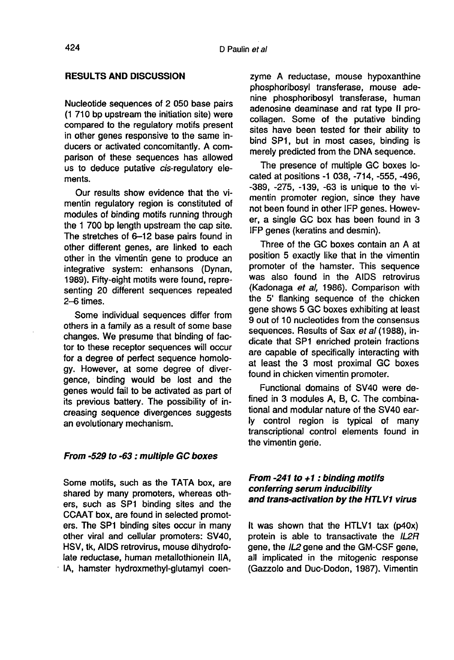### RESULTS AND DISCUSSION

Nucleotide sequences of 2 050 base pairs (1 710 bp upstream the initiation site) were compared to the regulatory motifs present in other genes responsive to the same inducers or activated concomitantly. A comparison of these sequences has allowed us to deduce putative cis-regulatory elements.

Our results show evidence that the vimentin regulatory region is constituted of modules of binding motifs running through the 1 700 bp length upstream the cap site. The stretches of 6-12 base pairs found in other different genes, are linked to each other in the vimentin gene to produce an integrative system: enhansons (Dynan, 1989). Fifty-eight motifs were found, representing 20 different sequences repeated 2-6 times.

Some individual sequences differ from others in a family as a result of some base changes. We presume that binding of factor to these receptor sequences will occur for a degree of perfect sequence homology. However, at some degree of divergence, binding would be lost and the genes would fail to be activated as part of its previous battery. The possibility of increasing sequence divergences suggests an evolutionary mechanism.

#### From -529 to -63 : multiple GC boxes

Some motifs, such as the TATA box, are shared by many promoters, whereas others, such as SP1 binding sites and the CCAAT box, are found in selected promot ers. The SP1 binding sites occur in many other viral and cellular promoters: SV40, HSV, tk, AIDS retrovirus, mouse dihydrofolate reductase, human metallothionein IIA, ! IA, hamster hydroxmethyl-glutamyl coenzyme A reductase, mouse hypoxanthine phosphoribosyl transferase, mouse adenine phosphoribosyl transferase, human adenosine deaminase and rat type II procoliagen. Some of the putative binding sites have been tested for their ability to bind SP1, but in most cases, binding is merely predicted from the DNA sequence.

The presence of multiple GC boxes located at positions -1 038, -714, -555, -496, - 389, -275, -139, -63 is unique to the vimentin promoter region, since they have not been found in other IFP genes. However, a single GC box has been found in 3 IFP genes (keratins and desmin).

Three of the GC boxes contain an A at position 5 exactly like that in the vimentin promoter of the hamster. This sequence was also found in the AIDS retrovirus (Kadonaga et al, 1986). Comparison with the 5' flanking sequence of the chicken gene shows 5 GC boxes exhibiting at least 9 out of 10 nucleotides from the consensus sequences. Results of Sax et al (1988), indicate that SP1 enriched protein fractions are capable of specifically interacting with at least the 3 most proximal GC boxes found in chicken vimentin promoter.

Functional domains of SV40 were defined in 3 modules A, B, C. The combinational and modular nature of the SV40 early control region is typical of many transcriptional control elements found in the vimentin gene.

# From  $-241$  to  $+1$ : binding motifs conferring serum inducibility and trans-activation by the HTLV1 virus

It was shown that the HTLV1 tax (p40x) protein is able to transactivate the IL2R gene, the IL2 gene and the GM-CSF gene, all implicated in the mitogenic response (Gazzolo and Duc-Dodon, 1987). Vimentin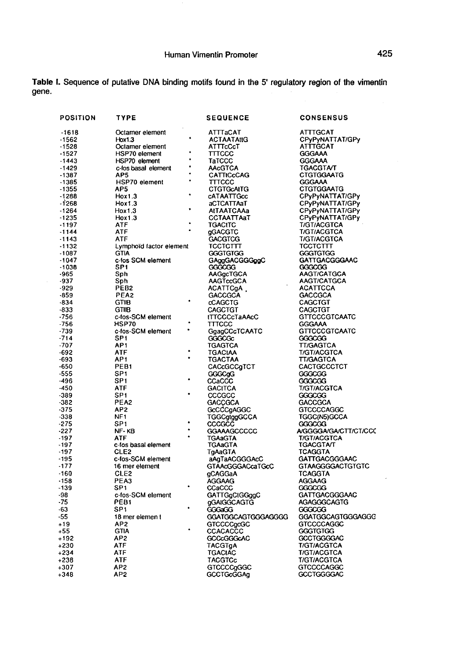Table I. Sequence of putative DNA binding motifs found in the 5' regulatory region of the vimentin gene.

| <b>POSITION</b>  | TYPE                                  | <b>SEQUENCE</b>                  | <b>CONSENSUS</b>                     |
|------------------|---------------------------------------|----------------------------------|--------------------------------------|
| $-1618$          | Octamer element                       | ATTTaCAT                         | ATTTGCAT                             |
| $-1562$          | Hox1.3                                | <b>ACTAATAtIG</b>                | CPyPyNATTAT/GPy                      |
| $-1528$          | Octamer element                       | ATTTcCcT                         | ATTTGCAT                             |
| $-1527$          | <b>HSP70</b> element                  | TTTCCC                           | <b>GGGAAA</b>                        |
| $-1443$          | HSP70 element                         | ТаТССС                           | GGGAAA                               |
| $-1429$          | c-fos basal element                   | <b>AAcGTCA</b>                   | TGACGTA/T                            |
| $-1387$          | AP5                                   | CATTICCCAG                       | <b>CTGTGGAATG</b>                    |
| $-1385$          | ٠<br><b>HSP70</b> element             | $\Pi$ TTCCC                      | <b>GGGAAA</b>                        |
| $-1355$          | AP5                                   | <b>CTGTGCAITG</b>                | <b>CTGTGGAATG</b>                    |
| $-1288$          | Hox1.3                                | CATAATTGcc                       | CPyPyNATTAT/GPy                      |
| $-1268$          | Hox1.3                                | aCTCATTAaT                       | CPyPyNATTAT/GPy                      |
| $-1264$          | Hox1.3                                | <b>AtTAATCAAa</b>                | CPyPyNATTAT/GPy                      |
| $-1235$          | Hox1.3                                | CCTAATTAaT                       | CPyPyNATTAT/GPy                      |
| $-1197$          | ATF                                   | TGACITC                          | T/GT/ACGTCA                          |
| -1144            | ATF                                   | gGACGTC                          | T/GT/ACGTCA                          |
| $-1143$          | ATF                                   | <b>GACGTCG</b>                   | <b>T/GT/ACGTCA</b>                   |
| $-1132$          | Lymphoid factor element               | тсстсттт                         | тсстсттт                             |
| $-1087$          | <b>GTIA</b>                           | <b>GGGTGTGG</b>                  | <b>GGGTGTGG</b>                      |
| $-1047$          | c-fos SCM element                     | GAggGACGGGggC                    | GATTGACGGGAAC                        |
| $-1038$          | SP <sub>1</sub>                       | GGGCGG                           | GGGCGG                               |
| -965             | Sph                                   | AAGgcTGCA                        | AAGT/CATGCA                          |
| -937             | Sph                                   | <b>AAGTccGCA</b>                 | AAGT/CATGCA                          |
| $-929$           | PEB2                                  | ACATTCgA .                       | <b>ACATTCCA</b>                      |
| $-859$<br>$-834$ | PEA2<br><b>GTIB</b>                   | <b>GACCGCA</b><br><b>CCAGCTG</b> | <b>GACCGCA</b><br>CAGCTGT            |
| -833             | <b>GTIIB</b>                          | <b>CAGCTGT</b>                   | CAGCTGT                              |
| -756             | c-fos-SCM element                     | <b>ITTCCCcTaAAcC</b>             | <b>GTTCCCGTCAATC</b>                 |
| -756             | HSP70                                 | TITCCC                           | GGGAAA                               |
| -739             | c-fos-SCM element                     | GgagCCcTCAATC                    | <b>GTTCCCGTCAATC</b>                 |
| $-714$           | SP1                                   | GGGCGC                           | GGGCGG                               |
| $-707$           | AP <sub>1</sub>                       | TGAGTCA                          | TT/GAGTCA                            |
| $-692$           | ATF                                   | TGACIAA                          | T/GT/ACGTCA                          |
| -693             | AP1                                   | TGACTAA                          | <b>TT/GAGTCA</b>                     |
| -650             | PEB <sub>1</sub>                      | CACcGCCgTCT                      | CACTGCCCTCT                          |
| -555             | SP1                                   | GGGCgG                           | GGGCCG                               |
| -496             | SP1                                   | CCaCCC                           | GGGCCG                               |
| -450             | ATF                                   | <b>GACITCA</b>                   | T/GT/ACGTCA                          |
| -389             | SP1                                   | CCCCCC                           | GGGCCG                               |
| -382             | PEA2                                  | <b>GACCGCA</b>                   | <b>GACCGCA</b>                       |
| -375             | AP2                                   | GCCCCgAGGC                       | <b>GTCCCCAGGC</b>                    |
| -338             | NF <sub>1</sub>                       | TGGCgtggGCCA                     | TGGC(N5)GCCA                         |
| -275             | SP1                                   | cccccc                           | CCCCCG                               |
| $-227$           | NF-KB                                 | GGAAAGCCCCC                      | A/GGGGA/GA/CTT/CT/CCC                |
| $-197$           | ATF                                   | TGAaGTA                          | <b>T/GT/ACGTCA</b>                   |
| $-197$           | c-fos basal element                   | <b>TGAaGTA</b>                   | <b>TGACGTA/T</b>                     |
| $-197$           | CLE2                                  | TgAaGTA                          | TCAGGTA                              |
| $-195$           | c-fos-SCM element                     | aAgTaACGGGAcC                    | GATTGACGGGAAC                        |
| $-177$           | 16 mer element                        | GTAAcGGGACcaTGcC                 | <b>GTAAGGGGACTGTGTC</b>              |
| $-160$           | CLE2                                  | qCAGGaA                          | TCAGGTA                              |
| $-158$           | PEA3                                  | AGGAAG                           | AGGAAG                               |
| -139             | SP <sub>1</sub>                       | CCaCCC                           | GGGCCG                               |
| -98              | c-fos-SCM element<br>PEB <sub>1</sub> | GATTGgCIGGggC                    | <b>GATTGACGGGAAC</b>                 |
| $-75$<br>$-63$   | SP1                                   | gGAIGGCAGTG                      | AGAGGGCAGTG                          |
| -55              |                                       | GGGaGG                           | GGGCGG<br>GGATGGCAGTGGGAGGC          |
| $+19$            | 18 mer elemen t<br>AP2                | GGATGGCAGTGGGAGGGG               |                                      |
| +55              | <b>GTIA</b>                           | <b>GTCCCCgcGC</b><br>CCACACCC    | <b>GTCCCCAGGC</b><br><b>GGGTGTGG</b> |
| +192             | AP <sub>2</sub>                       | GCCcGGGcAC                       | <b>GCCTGGGGAC</b>                    |
| +230             | ATF                                   | TACGTgA                          | T/GT/ACGTCA                          |
| +234             | ATF                                   | TGACIAC                          | <b>T/GT/ACGTCA</b>                   |
| +238             | ATF                                   | TACGTCc                          | <b>T/GT/ACGTCA</b>                   |
| +307             | AP <sub>2</sub>                       | <b>GTCCCCgGGC</b>                | <b>GTCCCCAGGC</b>                    |
| +348             | AP <sub>2</sub>                       | GCCTGcGGAg                       | <b>GCCTGGGGAC</b>                    |
|                  |                                       |                                  |                                      |

l,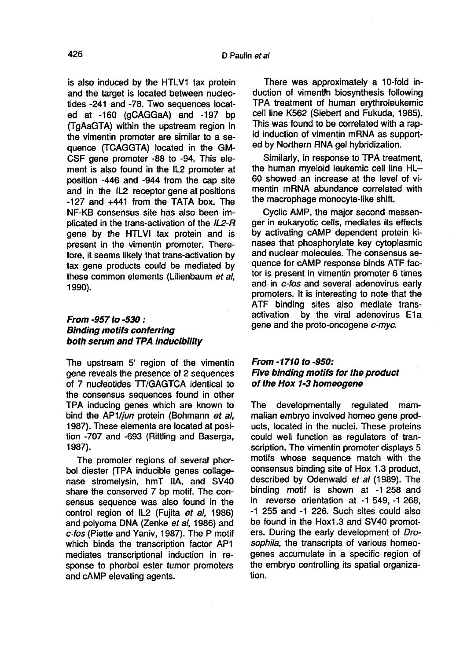is also induced by the HTLV1 tax protein and the target is located between nucleotides -241 and -78. Two sequences located at -160 (gCAGGaA) and -197 bp (TgAaGTA) within the upstream region in the vimentin promoter are similar to a sequence (TCAGGTA) located in the GM-CSF gene promoter -88 to -94. This element is also found in the IL2 promoter at position -446 and -944 from the cap site and in the IL2 receptor gene at positions - 127 and +441 from the TATA box. The NF-KB consensus site has also been implicated in the trans-activation of the IL2-R gene by the HTLVI tax protein and is present in the vimentin promoter. Therefore, it seems likely that trans-activation by tax gene products could be mediated by these common elements (Lilienbaum et al. 1990).

### From -957 to -530 : Binding motifs conferring both serum and TPA Inducibility

The upstream 5' region of the vimentin gene reveals the presence of 2 sequences of 7 nucleotides TT/GAGTCA identical to the consensus sequences found in other TPA inducing genes which are known to bind the AP1/jun protein (Bohmann et al, 1987). These elements are located at position -707 and -693 (Rittling and Baserga, 1987).

The promoter regions of several phor-<br>bol diester (TPA inducible genes collagenase stromelysin, hmT IIA, and SV40 share the conserved 7 bp motif. The consensus sequence was also found in the control region of IL2 (Fujita et al. 1986) and polyoma DNA (Zenke et al, 1986) and c-fos (Piette and Yaniv, 1987). The P motif which binds the transcription factor AP1 mediates transcriptional induction in response to phorbol ester tumor promoters and cAMP elevating agents.

There was approximately a 10-fold induction of vimenth biosynthesis following TPA treatment of human erythroleukemic cell line K562 (Siebert and Fukuda, 1985). This was found to be correlated with a rapid induction of vimentin mRNA as supported by Northern RNA gel hybridization.

Similarly, in response to TPA treatment, the human myeloid leukemic cell line HL-60 showed an increase at the level of vimentin mRNA abundance correlated with the macrophage monocyte-like shift.

Cyclic AMP, the major second messenger in eukaryotic cells, mediates its effects by activating cAMP dependent protein kinases that phosphorylate key cytoplasmic and nuclear molecules. The consensus sequence for cAMP response binds ATF factor is present in vimentin promoter 6 times and. in c-fos and several adenovirus early promoters. It is interesting to note that the ATF binding sites also mediate trans-<br>activation by the viral adenovirus E1a by the viral adenovirus E1a gene and the proto-oncogene c-myc.

# From -1710 to -950: Five binding motifs for the product of the Hox 1-3 homeogene

The developmentally regulated mammalian embryo involved homeo gene products, located in the nuclei. These proteins could well function as regulators of transcription. The vimentin promoter displays 5 motifs whose sequence match with the consensus binding site of Hox 1.3 product, described by Odenwald et al (1989). The binding motif is shown at -1 258 and in reverse orientation at -1 549, -1 268, - 1 255 and -1 226. Such sites could also be found in the Hox1.3 and SV40 promoters. During the early development of Drosophila, the transcripts of various homeogenes accumulate in a specific region of the embryo controlling its spatial organization.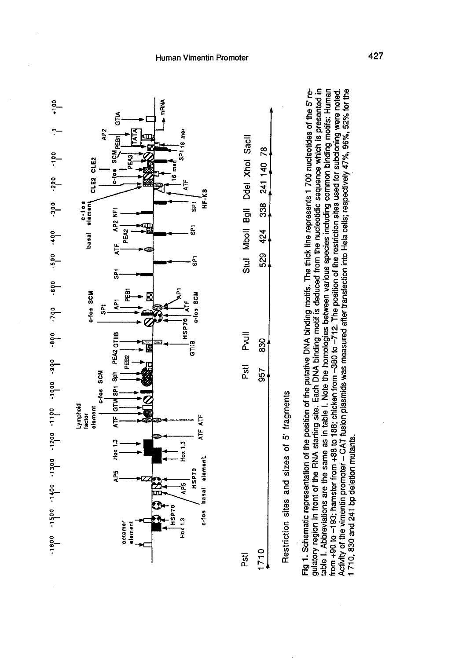



Restriction sites and sizes of 5' fragments

gulatory region in front of the RNA starting site. Each DNA binding motif is deduced from the nucleotidic sequence which is presented in table I. Abbreviations are the same as in table I. Note the homologies between various species including common binding motifs: Human Fig 1. Schematic representation of the position of the putative DNA binding motifs. The thick line represents 1 700 nucleotides of the 5' re-Activity of the vimentin promoter - CAT fusion plasmids was measured after transfection into Hela cells; respectively 47%, 96%, 52% for the rom +90 to -193; hamster from +88 to 188; chicken from -380 to -712. The position of the restriction sites used for subcloning were noted. 710, 830 and 241 bp deletion mutants.

#### Human Vimentin Promoter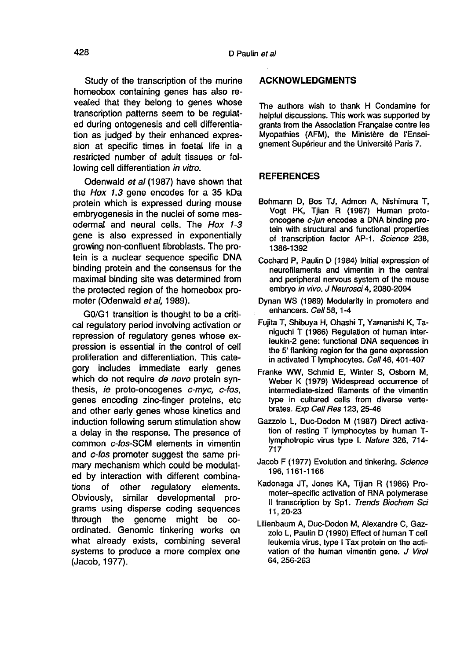Study of the transcription of the murine homeobox containing genes has also revealed that they belong to genes whose transcription patterns seem to be regulated during ontogenesis and cell differentiation as judged by their enhanced expression at specific times in foetal life in a restricted number of adult tissues or following cell differentiation in vitro.

Odenwald et al (1987) have shown that the Hox 1.3 gene encodes for a 35 kDa protein which is expressed during mouse embryogenesis in the nuclei of some mesodermal and neural cells. The Hox 1-3 gene is also expressed in exponentially growing non-confluent fibroblasts. The protein is a nuclear sequence specific DNA binding protein and the consensus for the maximal binding site was determined from the protected region of the homeobox promoter (Odenwald et al, 1989).

GO/G1 transition is thought to be a critical regulatory period involving activation or repression of regulatory genes whose expression is essential in the control of cell proliferation and differentiation. This category includes immediate early genes which do not require de novo protein synthesis, ie proto-oncogenes c-myc, c-fos, genes encoding zinc-finger proteins, etc and other early genes whose kinetics and induction following serum stimulation show a delay in the response. The presence of common c-fos-SCM elements in vimentin and c-fos promoter suggest the same primary mechanism which could be modulated by interaction with different combina-<br>tions of other requlatory elements. tions of other regulatory elements.<br>Obviously, similar developmental prosimilar developmental programs using disperse coding sequences through the genome might be coordinated. Genomic tinkering works on what already exists, combining several systems to produce a more complex one (Jacob, 1977).

#### ACKNOWLEDGMENTS

The authors wish to thank H Condamine for helpful discussions. This work was supported by grants from the Association Frangaise contre les Myopathies (AFM), the Ministère de l'Enseignement Supérieur and the Université Paris 7.

### **REFERENCES**

- Bohmann D, Bos TJ, Admon A, Nishimura T, Vogt PK, Tjian R (1987) Human protooncogene c-jun encodes a DNA binding protein with structural and functional properties of transcription factor AP-1. Science 238, 1386-1392
- Cochard P, Paulin D (1984) Initial expression of neurofilaments and vimentin in the central and peripheral nervous system of the mouse embryo in vivo. J Neurosci 4, 2080-2094
- Dynan WS (1989) Modularity in promoters and enhancers. Cell 58, 1-4
- Fujita T, Shibuya H, Ohashi T, Yamanishi K, Taniguchi T (1986) Regulation of human interleukin-2 gene: functional DNA sequences in the 5' flanking region for the gene expression in activated T lymphocytes. Cell 46, 401-407
- Franke WW, Schmid E, Winter S, Osborn M, Weber K (1979) Widespread occurrence of intermediate-sized filaments of the vimentin type in cultured cells from diverse vertebrates. Exp Cell Res 123, 25-46
- Gazzolo L, Duc-Dodon M (1987) Direct activation of resting T lymphocytes by human Tlymphotropic virus type I. Nature 326, 714- 717
- Jacob F (1977) Evolution and tinkering. Science 196, 1161-1166
- Kadonaga JT, Jones KA, Tijian R (1986) Promoter-specific activation of RNA polymerase II transcription by Spl. Trends Biochem Sci 11, 20-23
- Lilienbaum A, Duc-Dodon M, Alexandre C, Gazzolo L, Paulin D (1990) Effect of human T cell leukemia virus, type I Tax protein on the activation of the human vimentin gene. J Virol 64, 256-263